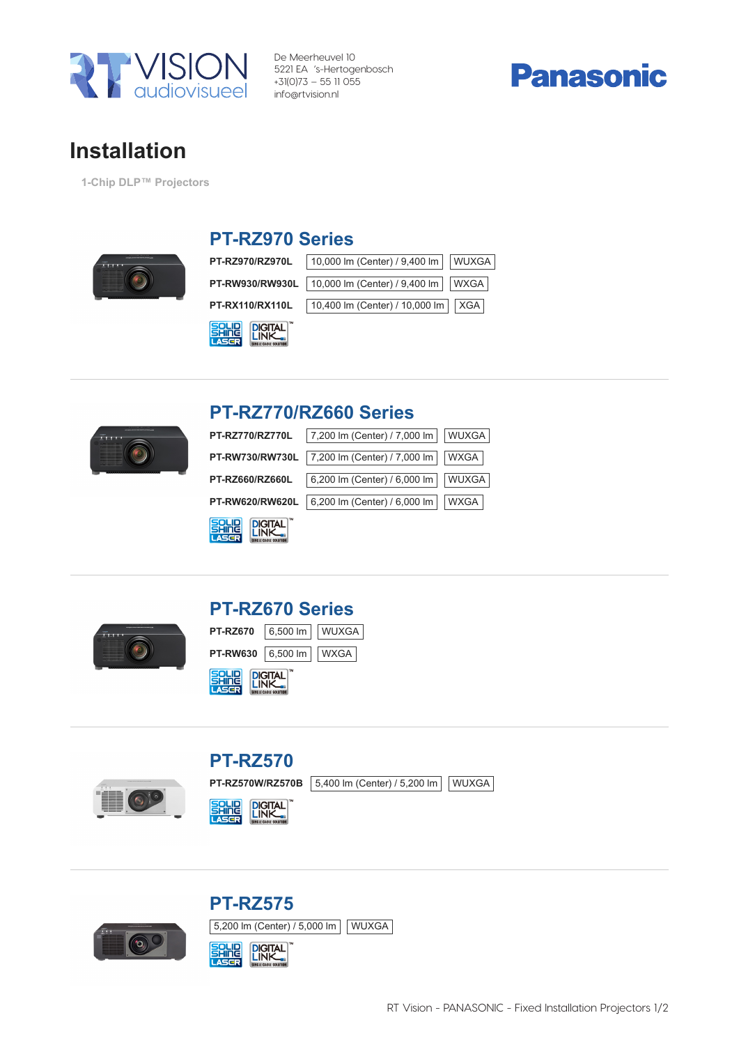

De Meerheuvel 10 5221 EA 's-Hertogenbosch +31(0)73 – 55 11 055 info@rtvision.nl



## Installation

1-Chip DLP™ Projectors



#### PT-RZ970 Series

PT-RZ970/RZ970L 10,000 lm (Center) / 9,400 lm WUXGA

|  | PT-RW930/RW930L 10,000 lm (Center) / 9,400 lm WXGA |  |  |
|--|----------------------------------------------------|--|--|
|--|----------------------------------------------------|--|--|

| 10,400 lm (Center) / 10,000 lm   XGA<br><b>PT-RX110/RX110L</b> |  |  |  |  |
|----------------------------------------------------------------|--|--|--|--|
|                                                                |  |  |  |  |

| solli | <b>DIGITAL</b> |
|-------|----------------|
| 7533  | <b>INK</b>     |



#### PT-RZ770/RZ660 Series

| <b>PT-RZ770/RZ770L</b>        | 7,200 lm (Center) / 7,000 lm | <b>WUXGA</b> |
|-------------------------------|------------------------------|--------------|
| <b>PT-RW730/RW730L</b>        | 7,200 lm (Center) / 7,000 lm | WXGA         |
| <b>PT-RZ660/RZ660L</b>        | 6,200 lm (Center) / 6,000 lm | WUXGA        |
| PT-RW620/RW620L               | 6,200 lm (Center) / 6,000 lm | WXGA         |
| <b>SAHA</b><br><b>DIGITAL</b> |                              |              |



### PT-RZ670 Series





#### PT-RZ570 PT-RZ570W/RZ570B 5,400 lm (Center) / 5,200 lm WUXGA

**DIGITAL** 



#### PT-RZ575 5,200 lm (Center) / 5,000 lm WUXGA SOLID<br>CASGR **DIGITAL**<br>LINK